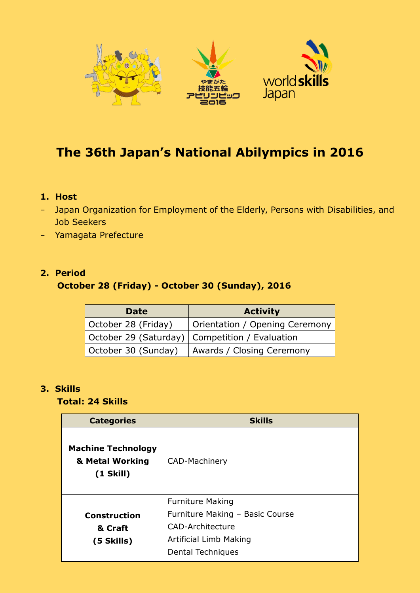

# **The 36th Japan's National Abilympics in 2016**

#### **1. Host**

- Japan Organization for Employment of the Elderly, Persons with Disabilities, and Job Seekers
- Yamagata Prefecture

#### **2. Period**

# **October 28 (Friday) - October 30 (Sunday), 2016**

| <b>Date</b>         | <b>Activity</b>                                  |
|---------------------|--------------------------------------------------|
| October 28 (Friday) | Orientation / Opening Ceremony                   |
|                     | October 29 (Saturday)   Competition / Evaluation |
| October 30 (Sunday) | Awards / Closing Ceremony                        |

#### **3. Skills**

#### **Total: 24 Skills**

| <b>Categories</b>                                              | <b>Skills</b>                                                                                                                 |
|----------------------------------------------------------------|-------------------------------------------------------------------------------------------------------------------------------|
| <b>Machine Technology</b><br>& Metal Working<br>$(1$ Skill $)$ | CAD-Machinery                                                                                                                 |
| <b>Construction</b><br>& Craft<br>(5 Skills)                   | <b>Furniture Making</b><br>Furniture Making - Basic Course<br>CAD-Architecture<br>Artificial Limb Making<br>Dental Techniques |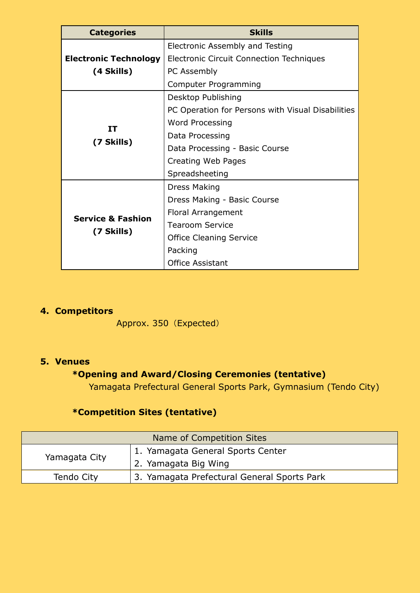| <b>Categories</b>                          | <b>Skills</b>                                     |
|--------------------------------------------|---------------------------------------------------|
| <b>Electronic Technology</b><br>(4 Skills) | Electronic Assembly and Testing                   |
|                                            | <b>Electronic Circuit Connection Techniques</b>   |
|                                            | PC Assembly                                       |
|                                            | Computer Programming                              |
| IΤ<br>(7 Skills)                           | Desktop Publishing                                |
|                                            | PC Operation for Persons with Visual Disabilities |
|                                            | <b>Word Processing</b>                            |
|                                            | Data Processing                                   |
|                                            | Data Processing - Basic Course                    |
|                                            | Creating Web Pages                                |
|                                            | Spreadsheeting                                    |
| <b>Service &amp; Fashion</b><br>(7 Skills) | <b>Dress Making</b>                               |
|                                            | Dress Making - Basic Course                       |
|                                            | Floral Arrangement                                |
|                                            | <b>Tearoom Service</b>                            |
|                                            | <b>Office Cleaning Service</b>                    |
|                                            | Packing                                           |
|                                            | <b>Office Assistant</b>                           |

### **4. Competitors**

Approx. 350 (Expected)

#### **5. Venues**

# **\*Opening and Award/Closing Ceremonies (tentative)**

Yamagata Prefectural General Sports Park, Gymnasium (Tendo City)

## **\*Competition Sites (tentative)**

| Name of Competition Sites |                                             |  |
|---------------------------|---------------------------------------------|--|
| Yamagata City             | 1. Yamagata General Sports Center           |  |
|                           | 2. Yamagata Big Wing                        |  |
| Tendo City                | 3. Yamagata Prefectural General Sports Park |  |